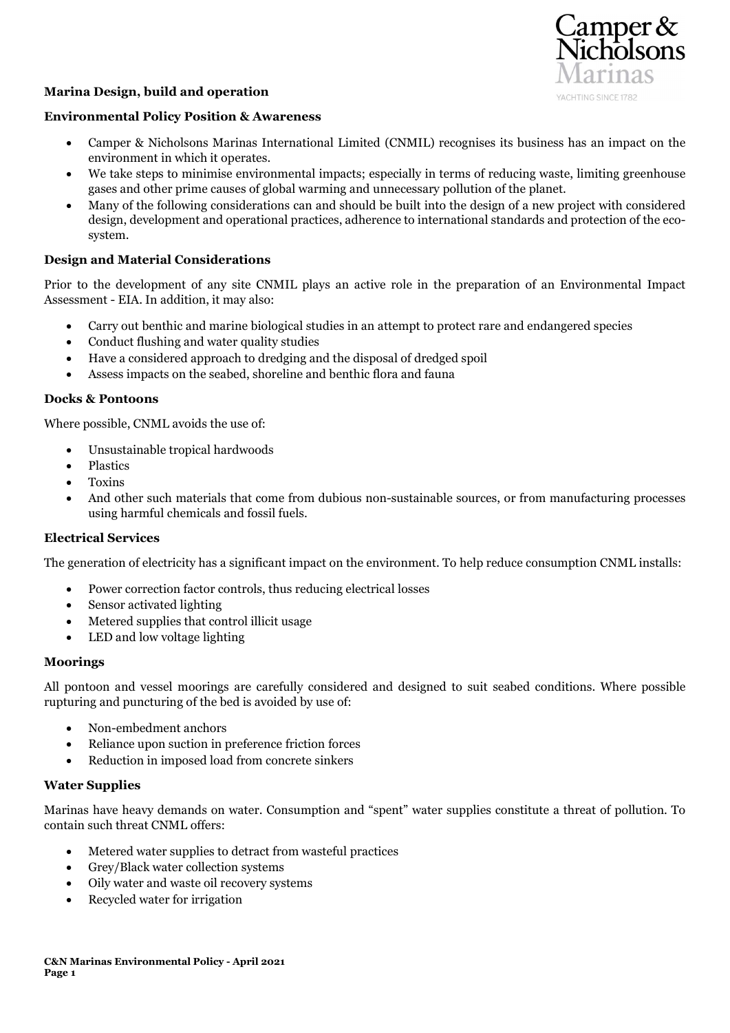

# Marina Design, build and operation

### Environmental Policy Position & Awareness

- Camper & Nicholsons Marinas International Limited (CNMIL) recognises its business has an impact on the environment in which it operates.
- We take steps to minimise environmental impacts; especially in terms of reducing waste, limiting greenhouse gases and other prime causes of global warming and unnecessary pollution of the planet.
- Many of the following considerations can and should be built into the design of a new project with considered design, development and operational practices, adherence to international standards and protection of the ecosystem.

### Design and Material Considerations

Prior to the development of any site CNMIL plays an active role in the preparation of an Environmental Impact Assessment - EIA. In addition, it may also:

- Carry out benthic and marine biological studies in an attempt to protect rare and endangered species
- Conduct flushing and water quality studies
- Have a considered approach to dredging and the disposal of dredged spoil
- Assess impacts on the seabed, shoreline and benthic flora and fauna

### Docks & Pontoons

Where possible, CNML avoids the use of:

- Unsustainable tropical hardwoods
- Plastics
- Toxins
- And other such materials that come from dubious non-sustainable sources, or from manufacturing processes using harmful chemicals and fossil fuels.

### Electrical Services

The generation of electricity has a significant impact on the environment. To help reduce consumption CNML installs:

- Power correction factor controls, thus reducing electrical losses
- Sensor activated lighting
- Metered supplies that control illicit usage
- LED and low voltage lighting

#### Moorings

All pontoon and vessel moorings are carefully considered and designed to suit seabed conditions. Where possible rupturing and puncturing of the bed is avoided by use of:

- Non-embedment anchors
- Reliance upon suction in preference friction forces
- Reduction in imposed load from concrete sinkers

### Water Supplies

Marinas have heavy demands on water. Consumption and "spent" water supplies constitute a threat of pollution. To contain such threat CNML offers:

- Metered water supplies to detract from wasteful practices
- Grey/Black water collection systems
- Oily water and waste oil recovery systems
- Recycled water for irrigation